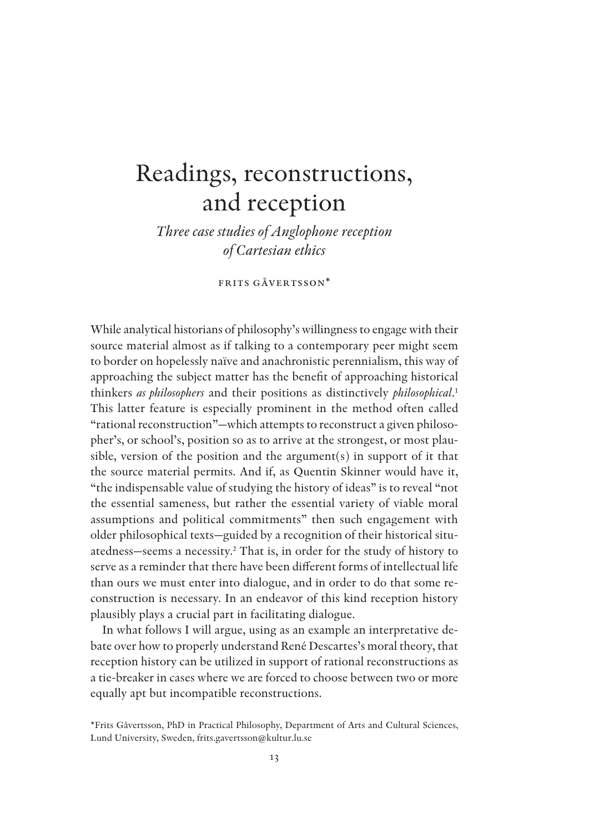# Readings, reconstructions, and reception

*Three case studies of Anglophone reception of Cartesian ethics*

FRITS GÅVERTSSON\*

While analytical historians of philosophy's willingness to engage with their source material almost as if talking to a contemporary peer might seem to border on hopelessly naïve and anachronistic perennialism, this way of approaching the subject matter has the benefit of approaching historical thinkers *as philosophers* and their positions as distinctively *philosophical*. 1 This latter feature is especially prominent in the method often called "rational reconstruction"—which attempts to reconstruct a given philosopher's, or school's, position so as to arrive at the strongest, or most plausible, version of the position and the argument(s) in support of it that the source material permits. And if, as Quentin Skinner would have it, "the indispensable value of studying the history of ideas" is to reveal "not the essential sameness, but rather the essential variety of viable moral assumptions and political commitments" then such engagement with older philosophical texts—guided by a recognition of their historical situatedness—seems a necessity.<sup>2</sup> That is, in order for the study of history to serve as a reminder that there have been different forms of intellectual life than ours we must enter into dialogue, and in order to do that some reconstruction is necessary. In an endeavor of this kind reception history plausibly plays a crucial part in facilitating dialogue.

In what follows I will argue, using as an example an interpretative debate over how to properly understand René Descartes's moral theory, that reception history can be utilized in support of rational reconstructions as a tie-breaker in cases where we are forced to choose between two or more equally apt but incompatible reconstructions.

<sup>\*</sup>Frits Gåvertsson, PhD in Practical Philosophy, Department of Arts and Cultural Sciences, Lund University, Sweden, frits.gavertsson@kultur.lu.se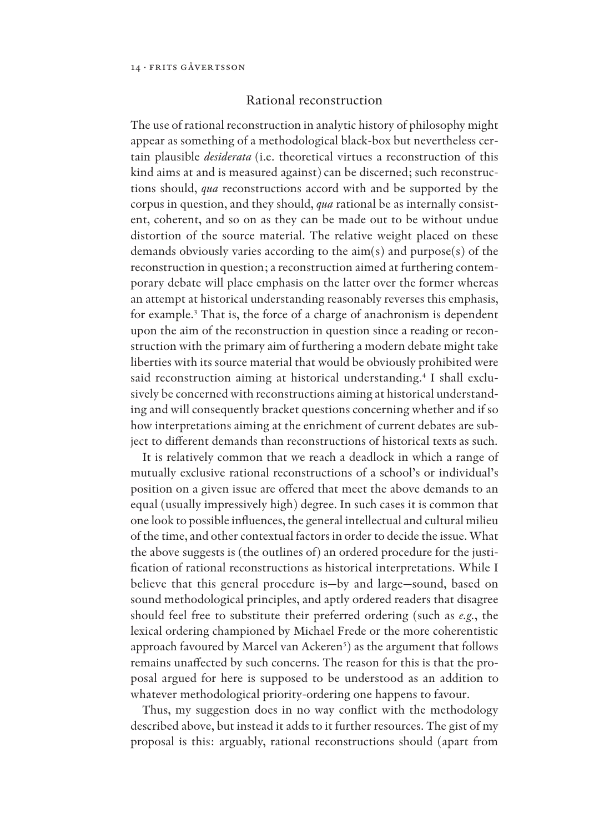## Rational reconstruction

The use of rational reconstruction in analytic history of philosophy might appear as something of a methodological black-box but nevertheless certain plausible *desiderata* (i.e. theoretical virtues a reconstruction of this kind aims at and is measured against) can be discerned; such reconstructions should, *qua* reconstructions accord with and be supported by the corpus in question, and they should, *qua* rational be as internally consistent, coherent, and so on as they can be made out to be without undue distortion of the source material. The relative weight placed on these demands obviously varies according to the aim(s) and purpose(s) of the reconstruction in question; a reconstruction aimed at furthering contemporary debate will place emphasis on the latter over the former whereas an attempt at historical understanding reasonably reverses this emphasis, for example.<sup>3</sup> That is, the force of a charge of anachronism is dependent upon the aim of the reconstruction in question since a reading or reconstruction with the primary aim of furthering a modern debate might take liberties with its source material that would be obviously prohibited were said reconstruction aiming at historical understanding.<sup>4</sup> I shall exclusively be concerned with reconstructions aiming at historical understanding and will consequently bracket questions concerning whether and if so how interpretations aiming at the enrichment of current debates are subject to different demands than reconstructions of historical texts as such.

It is relatively common that we reach a deadlock in which a range of mutually exclusive rational reconstructions of a school's or individual's position on a given issue are offered that meet the above demands to an equal (usually impressively high) degree. In such cases it is common that one look to possible influences, the general intellectual and cultural milieu of the time, and other contextual factors in order to decide the issue. What the above suggests is (the outlines of) an ordered procedure for the justi fication of rational reconstructions as historical interpretations. While I believe that this general procedure is—by and large—sound, based on sound methodological principles, and aptly ordered readers that disagree should feel free to substitute their preferred ordering (such as *e.g.*, the lexical ordering championed by Michael Frede or the more coherentistic approach favoured by Marcel van Ackeren<sup>s</sup>) as the argument that follows remains unaffected by such concerns. The reason for this is that the proposal argued for here is supposed to be understood as an addition to whatever methodological priority-ordering one happens to favour.

Thus, my suggestion does in no way conflict with the methodology described above, but instead it adds to it further resources. The gist of my proposal is this: arguably, rational reconstructions should (apart from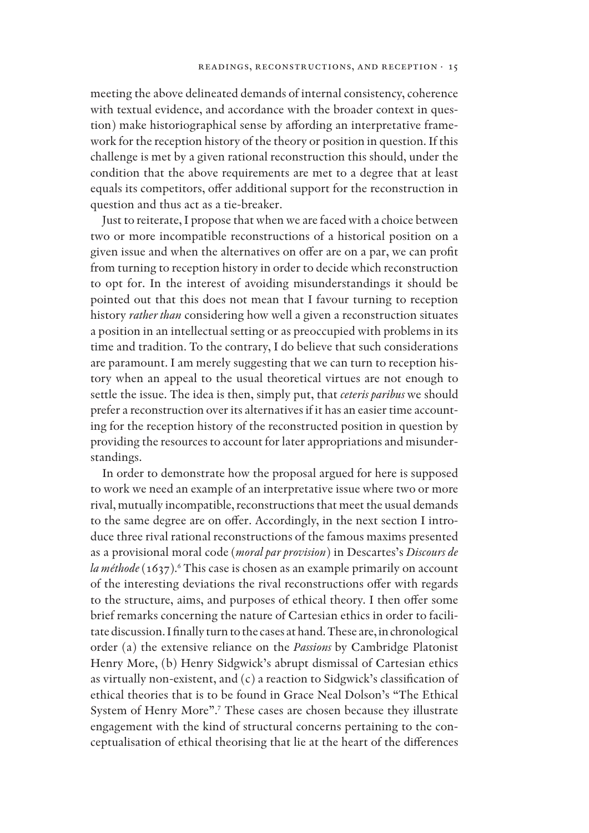meeting the above delineated demands of internal consistency, coherence with textual evidence, and accordance with the broader context in question) make historiographical sense by affording an interpretative framework for the reception history of the theory or position in question. If this challenge is met by a given rational reconstruction this should, under the condition that the above requirements are met to a degree that at least equals its competitors, offer additional support for the reconstruction in question and thus act as a tie-breaker.

Just to reiterate, I propose that when we are faced with a choice between two or more incompatible reconstructions of a historical position on a given issue and when the alternatives on offer are on a par, we can profit from turning to reception history in order to decide which reconstruction to opt for. In the interest of avoiding misunderstandings it should be pointed out that this does not mean that I favour turning to reception history *rather than* considering how well a given a reconstruction situates a position in an intellectual setting or as preoccupied with problems in its time and tradition. To the contrary, I do believe that such considerations are paramount. I am merely suggesting that we can turn to reception history when an appeal to the usual theoretical virtues are not enough to settle the issue. The idea is then, simply put, that *ceteris paribus* we should prefer a reconstruction over its alternatives if it has an easier time accounting for the reception history of the reconstructed position in question by providing the resources to account for later appropriations and misunderstandings.

In order to demonstrate how the proposal argued for here is supposed to work we need an example of an interpretative issue where two or more rival, mutually incompatible, reconstructions that meet the usual demands to the same degree are on offer. Accordingly, in the next section I introduce three rival rational reconstructions of the famous maxims presented as a provisional moral code (*moral par provision*) in Descartes's *Discours de la méthode* (1637).<sup>6</sup> This case is chosen as an example primarily on account of the interesting deviations the rival reconstructions offer with regards to the structure, aims, and purposes of ethical theory. I then offer some brief remarks concerning the nature of Cartesian ethics in order to facilitate discussion. I finally turn to the cases at hand. These are, in chronological order (a) the extensive reliance on the *Passions* by Cambridge Platonist Henry More, (b) Henry Sidgwick's abrupt dismissal of Cartesian ethics as virtually non-existent, and  $(c)$  a reaction to Sidgwick's classification of ethical theories that is to be found in Grace Neal Dolson's "The Ethical System of Henry More".<sup>7</sup> These cases are chosen because they illustrate engagement with the kind of structural concerns pertaining to the conceptualisation of ethical theorising that lie at the heart of the differences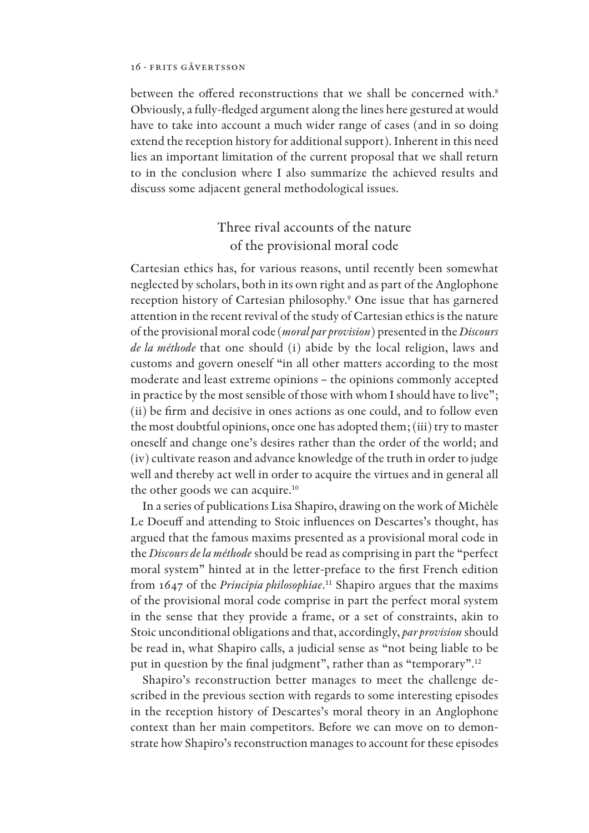between the offered reconstructions that we shall be concerned with.<sup>8</sup> Obviously, a fully-fledged argument along the lines here gestured at would have to take into account a much wider range of cases (and in so doing extend the reception history for additional support). Inherent in this need lies an important limitation of the current proposal that we shall return to in the conclusion where I also summarize the achieved results and discuss some adjacent general methodological issues.

# Three rival accounts of the nature of the provisional moral code

Cartesian ethics has, for various reasons, until recently been somewhat neglected by scholars, both in its own right and as part of the Anglophone reception history of Cartesian philosophy.<sup>9</sup> One issue that has garnered attention in the recent revival of the study of Cartesian ethics is the nature of the provisional moral code (*moral par provision*) presented in the *Discours de la méthode* that one should (i) abide by the local religion, laws and customs and govern oneself "in all other matters according to the most moderate and least extreme opinions – the opinions commonly accepted in practice by the most sensible of those with whom I should have to live"; (ii) be firm and decisive in ones actions as one could, and to follow even the most doubtful opinions, once one has adopted them; (iii) try to master oneself and change one's desires rather than the order of the world; and (iv) cultivate reason and advance knowledge of the truth in order to judge well and thereby act well in order to acquire the virtues and in general all the other goods we can acquire.<sup>10</sup>

In a series of publications Lisa Shapiro, drawing on the work of Michèle Le Doeuff and attending to Stoic influences on Descartes's thought, has argued that the famous maxims presented as a provisional moral code in the *Discours de la méthode* should be read as comprising in part the "perfect moral system" hinted at in the letter-preface to the first French edition from 1647 of the *Principia philosophiae*. <sup>11</sup> Shapiro argues that the maxims of the provisional moral code comprise in part the perfect moral system in the sense that they provide a frame, or a set of constraints, akin to Stoic unconditional obligations and that, accordingly, *par provision* should be read in, what Shapiro calls, a judicial sense as "not being liable to be put in question by the final judgment", rather than as "temporary".<sup>12</sup>

Shapiro's reconstruction better manages to meet the challenge described in the previous section with regards to some interesting episodes in the reception history of Descartes's moral theory in an Anglophone context than her main competitors. Before we can move on to demonstrate how Shapiro's reconstruction manages to account for these episodes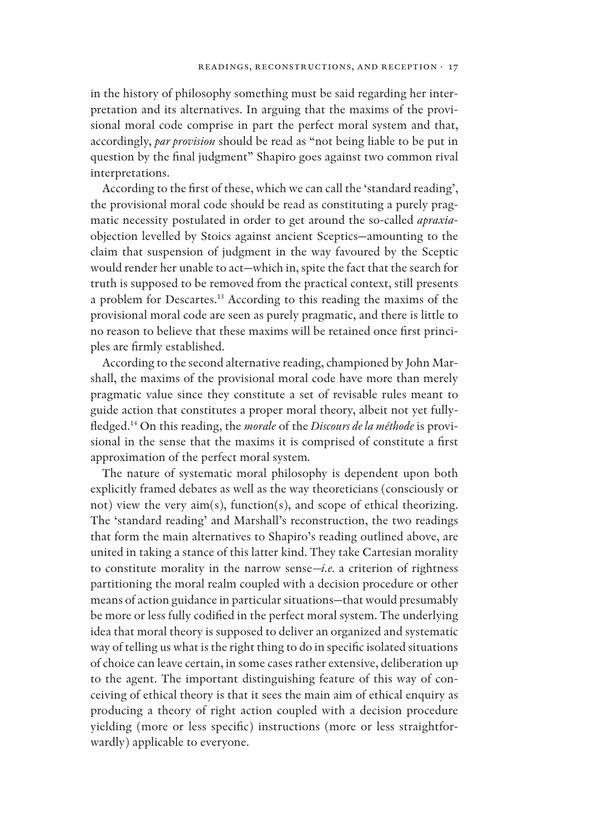in the history of philosophy something must be said regarding her interpretation and its alternatives. In arguing that the maxims of the provisional moral code comprise in part the perfect moral system and that, accordingly, *par provision* should be read as "not being liable to be put in question by the final judgment" Shapiro goes against two common rival interpretations.

According to the first of these, which we can call the 'standard reading', the provisional moral code should be read as constituting a purely pragmatic necessity postulated in order to get around the so-called *apraxia*objection levelled by Stoics against ancient Sceptics—amounting to the claim that suspension of judgment in the way favoured by the Sceptic would render her unable to act—which in, spite the fact that the search for truth is supposed to be removed from the practical context, still presents a problem for Descartes.<sup>13</sup> According to this reading the maxims of the provisional moral code are seen as purely pragmatic, and there is little to no reason to believe that these maxims will be retained once first principles are firmly established.

According to the second alternative reading, championed by John Marshall, the maxims of the provisional moral code have more than merely pragmatic value since they constitute a set of revisable rules meant to guide action that constitutes a proper moral theory, albeit not yet fullyfledged.<sup>14</sup> On this reading, the *morale* of the *Discours de la méthode* is provisional in the sense that the maxims it is comprised of constitute a first approximation of the perfect moral system*.*

The nature of systematic moral philosophy is dependent upon both explicitly framed debates as well as the way theoreticians (consciously or not) view the very aim(s), function(s), and scope of ethical theorizing. The 'standard reading' and Marshall's reconstruction, the two readings that form the main alternatives to Shapiro's reading outlined above, are united in taking a stance of this latter kind. They take Cartesian morality to constitute morality in the narrow sense*—i.e.* a criterion of rightness partitioning the moral realm coupled with a decision procedure or other means of action guidance in particular situations—that would presumably be more or less fully codified in the perfect moral system. The underlying idea that moral theory is supposed to deliver an organized and systematic way of telling us what is the right thing to do in specific isolated situations of choice can leave certain, in some cases rather extensive, deliberation up to the agent. The important distinguishing feature of this way of conceiving of ethical theory is that it sees the main aim of ethical enquiry as producing a theory of right action coupled with a decision procedure yielding (more or less specific) instructions (more or less straightforwardly) applicable to everyone.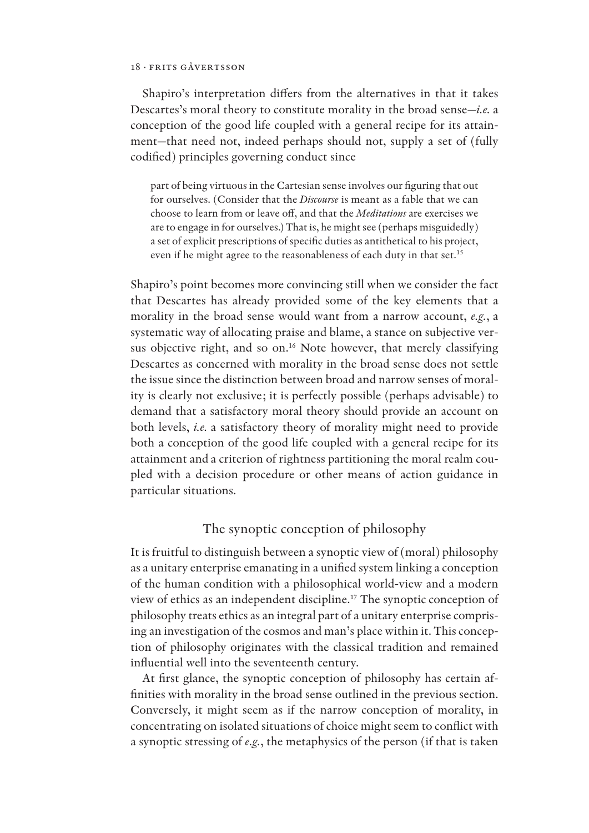Shapiro's interpretation differs from the alternatives in that it takes Descartes's moral theory to constitute morality in the broad sense—*i.e.* a conception of the good life coupled with a general recipe for its attainment—that need not, indeed perhaps should not, supply a set of (fully codified) principles governing conduct since

part of being virtuous in the Cartesian sense involves our figuring that out for ourselves. (Consider that the *Discourse* is meant as a fable that we can choose to learn from or leave o/, and that the *Meditations* are exercises we are to engage in for ourselves.) That is, he might see (perhaps misguidedly) a set of explicit prescriptions of specific duties as antithetical to his project, even if he might agree to the reasonableness of each duty in that set.<sup>15</sup>

Shapiro's point becomes more convincing still when we consider the fact that Descartes has already provided some of the key elements that a morality in the broad sense would want from a narrow account, *e.g.*, a systematic way of allocating praise and blame, a stance on subjective versus objective right, and so on.<sup>16</sup> Note however, that merely classifying Descartes as concerned with morality in the broad sense does not settle the issue since the distinction between broad and narrow senses of morality is clearly not exclusive; it is perfectly possible (perhaps advisable) to demand that a satisfactory moral theory should provide an account on both levels, *i.e.* a satisfactory theory of morality might need to provide both a conception of the good life coupled with a general recipe for its attainment and a criterion of rightness partitioning the moral realm coupled with a decision procedure or other means of action guidance in particular situations.

## The synoptic conception of philosophy

It is fruitful to distinguish between a synoptic view of (moral) philosophy as a unitary enterprise emanating in a unified system linking a conception of the human condition with a philosophical world-view and a modern view of ethics as an independent discipline.<sup>17</sup> The synoptic conception of philosophy treats ethics as an integral part of a unitary enterprise comprising an investigation of the cosmos and man's place within it. This conception of philosophy originates with the classical tradition and remained influential well into the seventeenth century.

At first glance, the synoptic conception of philosophy has certain affinities with morality in the broad sense outlined in the previous section. Conversely, it might seem as if the narrow conception of morality, in concentrating on isolated situations of choice might seem to conflict with a synoptic stressing of *e.g.*, the metaphysics of the person (if that is taken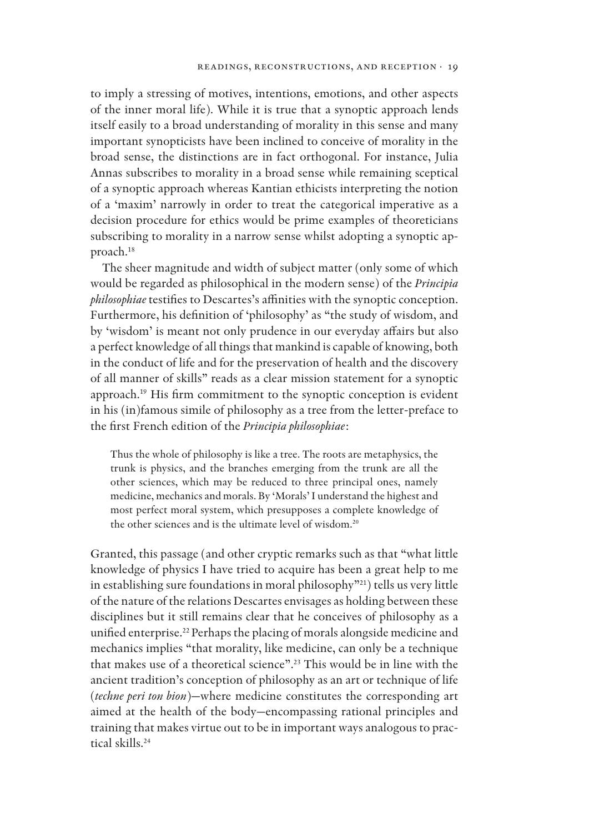to imply a stressing of motives, intentions, emotions, and other aspects of the inner moral life). While it is true that a synoptic approach lends itself easily to a broad understanding of morality in this sense and many important synopticists have been inclined to conceive of morality in the broad sense, the distinctions are in fact orthogonal. For instance, Julia Annas subscribes to morality in a broad sense while remaining sceptical of a synoptic approach whereas Kantian ethicists interpreting the notion of a 'maxim' narrowly in order to treat the categorical imperative as a decision procedure for ethics would be prime examples of theoreticians subscribing to morality in a narrow sense whilst adopting a synoptic approach.<sup>18</sup>

The sheer magnitude and width of subject matter (only some of which would be regarded as philosophical in the modern sense) of the *Principia philosophiae* testifies to Descartes's affinities with the synoptic conception. Furthermore, his definition of 'philosophy' as "the study of wisdom, and by 'wisdom' is meant not only prudence in our everyday affairs but also a perfect knowledge of all things that mankind is capable of knowing, both in the conduct of life and for the preservation of health and the discovery of all manner of skills" reads as a clear mission statement for a synoptic approach.<sup>19</sup> His firm commitment to the synoptic conception is evident in his (in)famous simile of philosophy as a tree from the letter-preface to the first French edition of the *Principia philosophiae*:

Thus the whole of philosophy is like a tree. The roots are metaphysics, the trunk is physics, and the branches emerging from the trunk are all the other sciences, which may be reduced to three principal ones, namely medicine, mechanics and morals. By 'Morals' I understand the highest and most perfect moral system, which presupposes a complete knowledge of the other sciences and is the ultimate level of wisdom.<sup>20</sup>

Granted, this passage (and other cryptic remarks such as that "what little knowledge of physics I have tried to acquire has been a great help to me in establishing sure foundations in moral philosophy"<sup>21</sup>) tells us very little of the nature of the relations Descartes envisages as holding between these disciplines but it still remains clear that he conceives of philosophy as a unified enterprise.<sup>22</sup> Perhaps the placing of morals alongside medicine and mechanics implies "that morality, like medicine, can only be a technique that makes use of a theoretical science".<sup>23</sup> This would be in line with the ancient tradition's conception of philosophy as an art or technique of life (*techne peri ton bion*)—where medicine constitutes the corresponding art aimed at the health of the body—encompassing rational principles and training that makes virtue out to be in important ways analogous to practical skills.24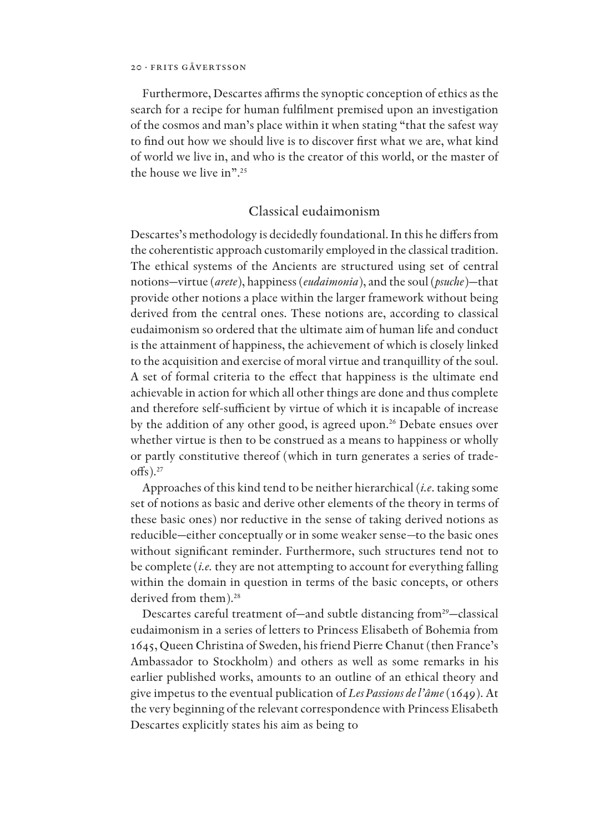Furthermore, Descartes affirms the synoptic conception of ethics as the search for a recipe for human fulfilment premised upon an investigation of the cosmos and man's place within it when stating "that the safest way to find out how we should live is to discover first what we are, what kind of world we live in, and who is the creator of this world, or the master of the house we live in".<sup>25</sup>

## Classical eudaimonism

Descartes's methodology is decidedly foundational. In this he differs from the coherentistic approach customarily employed in the classical tradition. The ethical systems of the Ancients are structured using set of central notions—virtue (*arete*), happiness (*eudaimonia*), and the soul (*psuche*)—that provide other notions a place within the larger framework without being derived from the central ones. These notions are, according to classical eudaimonism so ordered that the ultimate aim of human life and conduct is the attainment of happiness, the achievement of which is closely linked to the acquisition and exercise of moral virtue and tranquillity of the soul. A set of formal criteria to the effect that happiness is the ultimate end achievable in action for which all other things are done and thus complete and therefore self-sufficient by virtue of which it is incapable of increase by the addition of any other good, is agreed upon.<sup>26</sup> Debate ensues over whether virtue is then to be construed as a means to happiness or wholly or partly constitutive thereof (which in turn generates a series of trade- $\text{offs}$ ).<sup>27</sup>

Approaches of this kind tend to be neither hierarchical (*i.e*. taking some set of notions as basic and derive other elements of the theory in terms of these basic ones) nor reductive in the sense of taking derived notions as reducible—either conceptually or in some weaker sense*—*to the basic ones without significant reminder. Furthermore, such structures tend not to be complete (*i.e.* they are not attempting to account for everything falling within the domain in question in terms of the basic concepts, or others derived from them).<sup>28</sup>

Descartes careful treatment of—and subtle distancing from<sup>29</sup>—classical eudaimonism in a series of letters to Princess Elisabeth of Bohemia from 1645, Queen Christina of Sweden, his friend Pierre Chanut (then France's Ambassador to Stockholm) and others as well as some remarks in his earlier published works, amounts to an outline of an ethical theory and give impetus to the eventual publication of *Les Passions de l'âme*(1649). At the very beginning of the relevant correspondence with Princess Elisabeth Descartes explicitly states his aim as being to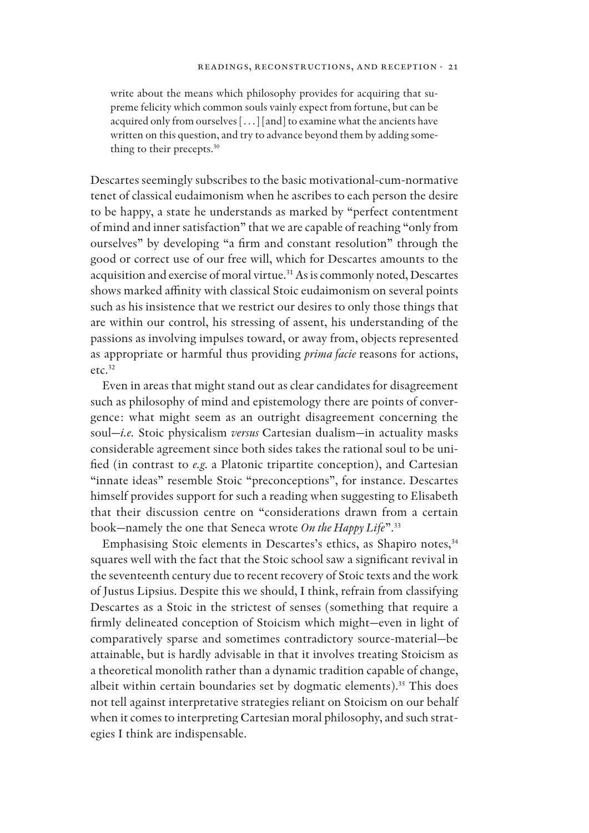write about the means which philosophy provides for acquiring that supreme felicity which common souls vainly expect from fortune, but can be acquired only from ourselves […] [and] to examine what the ancients have written on this question, and try to advance beyond them by adding something to their precepts.<sup>30</sup>

Descartes seemingly subscribes to the basic motivational-cum-normative tenet of classical eudaimonism when he ascribes to each person the desire to be happy, a state he understands as marked by "perfect contentment of mind and inner satisfaction" that we are capable of reaching "only from ourselves" by developing "a firm and constant resolution" through the good or correct use of our free will, which for Descartes amounts to the acquisition and exercise of moral virtue.<sup>31</sup> As is commonly noted, Descartes shows marked affinity with classical Stoic eudaimonism on several points such as his insistence that we restrict our desires to only those things that are within our control, his stressing of assent, his understanding of the passions as involving impulses toward, or away from, objects represented as appropriate or harmful thus providing *prima facie* reasons for actions,  $etc.<sup>32</sup>$ 

Even in areas that might stand out as clear candidates for disagreement such as philosophy of mind and epistemology there are points of convergence: what might seem as an outright disagreement concerning the soul—*i.e.* Stoic physicalism *versus* Cartesian dualism—in actuality masks considerable agreement since both sides takes the rational soul to be uni fied (in contrast to *e.g.* a Platonic tripartite conception), and Cartesian "innate ideas" resemble Stoic "preconceptions", for instance. Descartes himself provides support for such a reading when suggesting to Elisabeth that their discussion centre on "considerations drawn from a certain book—namely the one that Seneca wrote *On the Happy Life*".<sup>33</sup>

Emphasising Stoic elements in Descartes's ethics, as Shapiro notes,<sup>34</sup> squares well with the fact that the Stoic school saw a significant revival in the seventeenth century due to recent recovery of Stoic texts and the work of Justus Lipsius. Despite this we should, I think, refrain from classifying Descartes as a Stoic in the strictest of senses (something that require a firmly delineated conception of Stoicism which might-even in light of comparatively sparse and sometimes contradictory source-material—be attainable, but is hardly advisable in that it involves treating Stoicism as a theoretical monolith rather than a dynamic tradition capable of change, albeit within certain boundaries set by dogmatic elements).<sup>35</sup> This does not tell against interpretative strategies reliant on Stoicism on our behalf when it comes to interpreting Cartesian moral philosophy, and such strategies I think are indispensable.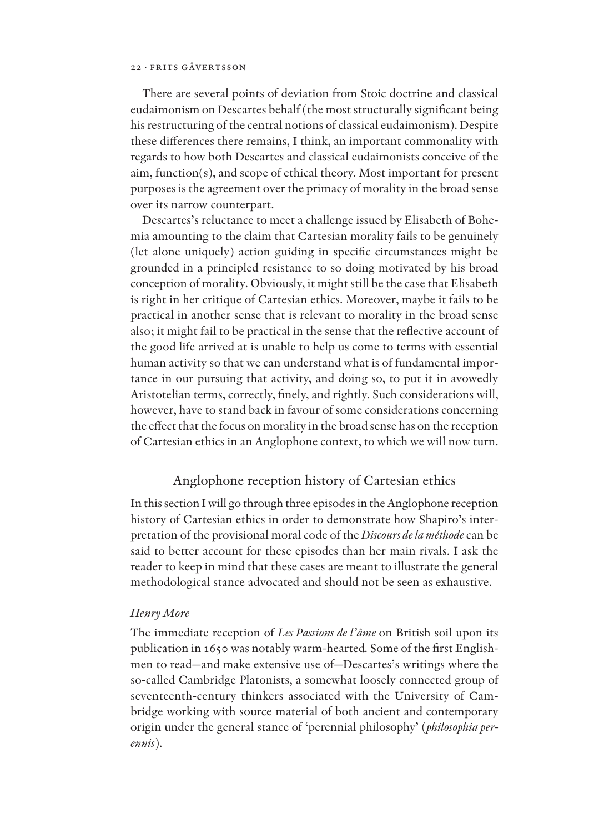There are several points of deviation from Stoic doctrine and classical eudaimonism on Descartes behalf (the most structurally significant being his restructuring of the central notions of classical eudaimonism). Despite these differences there remains, I think, an important commonality with regards to how both Descartes and classical eudaimonists conceive of the aim, function(s), and scope of ethical theory. Most important for present purposes is the agreement over the primacy of morality in the broad sense over its narrow counterpart.

Descartes's reluctance to meet a challenge issued by Elisabeth of Bohemia amounting to the claim that Cartesian morality fails to be genuinely (let alone uniquely) action guiding in specific circumstances might be grounded in a principled resistance to so doing motivated by his broad conception of morality. Obviously, it might still be the case that Elisabeth is right in her critique of Cartesian ethics. Moreover, maybe it fails to be practical in another sense that is relevant to morality in the broad sense also; it might fail to be practical in the sense that the reflective account of the good life arrived at is unable to help us come to terms with essential human activity so that we can understand what is of fundamental importance in our pursuing that activity, and doing so, to put it in avowedly Aristotelian terms, correctly, finely, and rightly. Such considerations will, however, have to stand back in favour of some considerations concerning the effect that the focus on morality in the broad sense has on the reception of Cartesian ethics in an Anglophone context, to which we will now turn.

## Anglophone reception history of Cartesian ethics

In this section I will go through three episodes in the Anglophone reception history of Cartesian ethics in order to demonstrate how Shapiro's interpretation of the provisional moral code of the *Discours de la méthode* can be said to better account for these episodes than her main rivals. I ask the reader to keep in mind that these cases are meant to illustrate the general methodological stance advocated and should not be seen as exhaustive.

## *Henry More*

The immediate reception of *Les Passions de l'âme* on British soil upon its publication in 1650 was notably warm-hearted. Some of the first Englishmen to read—and make extensive use of—Descartes's writings where the so-called Cambridge Platonists, a somewhat loosely connected group of seventeenth-century thinkers associated with the University of Cambridge working with source material of both ancient and contemporary origin under the general stance of 'perennial philosophy' (*philosophia perennis*).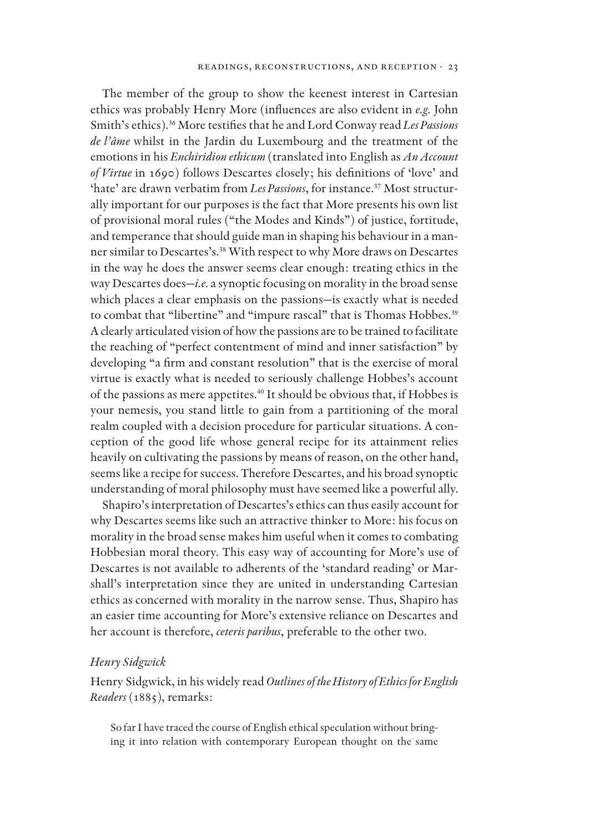The member of the group to show the keenest interest in Cartesian ethics was probably Henry More (influences are also evident in *e.g.* John Smith's ethics).<sup>36</sup> More testifies that he and Lord Conway read Les Passions *de l'âme* whilst in the Jardin du Luxembourg and the treatment of the emotions in his *Enchiridion ethicum* (translated into English as *An Account of Virtue* in 1690) follows Descartes closely; his definitions of 'love' and 'hate' are drawn verbatim from *Les Passions*, for instance.<sup>37</sup> Most structurally important for our purposes is the fact that More presents his own list of provisional moral rules ("the Modes and Kinds") of justice, fortitude, and temperance that should guide man in shaping his behaviour in a manner similar to Descartes's.<sup>38</sup> With respect to why More draws on Descartes in the way he does the answer seems clear enough: treating ethics in the way Descartes does—*i.e.* a synoptic focusing on morality in the broad sense which places a clear emphasis on the passions—is exactly what is needed to combat that "libertine" and "impure rascal" that is Thomas Hobbes.<sup>39</sup> A clearly articulated vision of how the passions are to be trained to facilitate the reaching of "perfect contentment of mind and inner satisfaction" by developing "a firm and constant resolution" that is the exercise of moral virtue is exactly what is needed to seriously challenge Hobbes's account of the passions as mere appetites.<sup>40</sup> It should be obvious that, if Hobbes is your nemesis, you stand little to gain from a partitioning of the moral realm coupled with a decision procedure for particular situations. A conception of the good life whose general recipe for its attainment relies heavily on cultivating the passions by means of reason, on the other hand, seems like a recipe for success. Therefore Descartes, and his broad synoptic understanding of moral philosophy must have seemed like a powerful ally.

Shapiro's interpretation of Descartes's ethics can thus easily account for why Descartes seems like such an attractive thinker to More: his focus on morality in the broad sense makes him useful when it comes to combating Hobbesian moral theory. This easy way of accounting for More's use of Descartes is not available to adherents of the 'standard reading' or Marshall's interpretation since they are united in understanding Cartesian ethics as concerned with morality in the narrow sense. Thus, Shapiro has an easier time accounting for More's extensive reliance on Descartes and her account is therefore, *ceteris paribus*, preferable to the other two.

## *Henry Sidgwick*

Henry Sidgwick, in his widely read *Outlines of the History of Ethics for English Readers* (1885), remarks:

So far I have traced the course of English ethical speculation without bringing it into relation with contemporary European thought on the same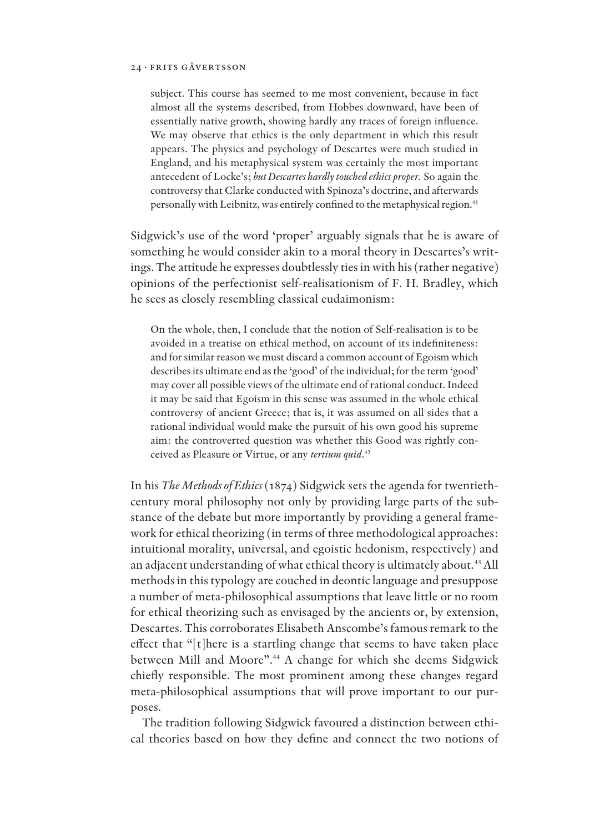subject. This course has seemed to me most convenient, because in fact almost all the systems described, from Hobbes downward, have been of essentially native growth, showing hardly any traces of foreign influence. We may observe that ethics is the only department in which this result appears. The physics and psychology of Descartes were much studied in England, and his metaphysical system was certainly the most important antecedent of Locke's; *but Descartes hardly touched ethics proper.* So again the controversy that Clarke conducted with Spinoza's doctrine, and afterwards personally with Leibnitz, was entirely confined to the metaphysical region.<sup>41</sup>

Sidgwick's use of the word 'proper' arguably signals that he is aware of something he would consider akin to a moral theory in Descartes's writings. The attitude he expresses doubtlessly ties in with his (rather negative) opinions of the perfectionist self-realisationism of F. H. Bradley, which he sees as closely resembling classical eudaimonism:

On the whole, then, I conclude that the notion of Self-realisation is to be avoided in a treatise on ethical method, on account of its indefiniteness: and for similar reason we must discard a common account of Egoism which describes its ultimate end as the 'good' of the individual; for the term 'good' may cover all possible views of the ultimate end of rational conduct. Indeed it may be said that Egoism in this sense was assumed in the whole ethical controversy of ancient Greece; that is, it was assumed on all sides that a rational individual would make the pursuit of his own good his supreme aim: the controverted question was whether this Good was rightly conceived as Pleasure or Virtue, or any *tertium quid*. 42

In his *The Methods of Ethics* (1874) Sidgwick sets the agenda for twentiethcentury moral philosophy not only by providing large parts of the substance of the debate but more importantly by providing a general framework for ethical theorizing (in terms of three methodological approaches: intuitional morality, universal, and egoistic hedonism, respectively) and an adjacent understanding of what ethical theory is ultimately about.<sup>43</sup> All methods in this typology are couched in deontic language and presuppose a number of meta-philosophical assumptions that leave little or no room for ethical theorizing such as envisaged by the ancients or, by extension, Descartes. This corroborates Elisabeth Anscombe's famous remark to the effect that "[t]here is a startling change that seems to have taken place between Mill and Moore".<sup>44</sup> A change for which she deems Sidgwick chiefly responsible. The most prominent among these changes regard meta-philosophical assumptions that will prove important to our purposes.

The tradition following Sidgwick favoured a distinction between ethical theories based on how they define and connect the two notions of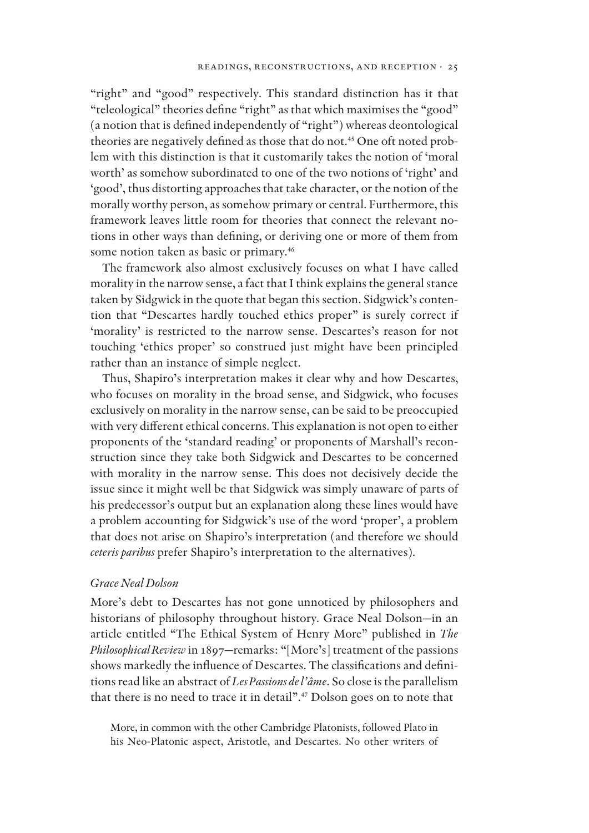"right" and "good" respectively. This standard distinction has it that "teleological" theories define "right" as that which maximises the "good"  $(a$  notion that is defined independently of "right") whereas deontological theories are negatively defined as those that do not.<sup>45</sup> One oft noted problem with this distinction is that it customarily takes the notion of 'moral worth' as somehow subordinated to one of the two notions of 'right' and 'good', thus distorting approaches that take character, or the notion of the morally worthy person, as somehow primary or central. Furthermore, this framework leaves little room for theories that connect the relevant notions in other ways than defining, or deriving one or more of them from some notion taken as basic or primary.<sup>46</sup>

The framework also almost exclusively focuses on what I have called morality in the narrow sense, a fact that I think explains the general stance taken by Sidgwick in the quote that began this section. Sidgwick's contention that "Descartes hardly touched ethics proper" is surely correct if 'morality' is restricted to the narrow sense. Descartes's reason for not touching 'ethics proper' so construed just might have been principled rather than an instance of simple neglect.

Thus, Shapiro's interpretation makes it clear why and how Descartes, who focuses on morality in the broad sense, and Sidgwick, who focuses exclusively on morality in the narrow sense, can be said to be preoccupied with very different ethical concerns. This explanation is not open to either proponents of the 'standard reading' or proponents of Marshall's reconstruction since they take both Sidgwick and Descartes to be concerned with morality in the narrow sense. This does not decisively decide the issue since it might well be that Sidgwick was simply unaware of parts of his predecessor's output but an explanation along these lines would have a problem accounting for Sidgwick's use of the word 'proper', a problem that does not arise on Shapiro's interpretation (and therefore we should *ceteris paribus* prefer Shapiro's interpretation to the alternatives).

### *Grace Neal Dolson*

More's debt to Descartes has not gone unnoticed by philosophers and historians of philosophy throughout history. Grace Neal Dolson—in an article entitled "The Ethical System of Henry More" published in *The Philosophical Review* in 1897—remarks: "[More's] treatment of the passions shows markedly the influence of Descartes. The classifications and definitions read like an abstract of *Les Passions de l'âme*. So close is the parallelism that there is no need to trace it in detail".<sup>47</sup> Dolson goes on to note that

More, in common with the other Cambridge Platonists, followed Plato in his Neo-Platonic aspect, Aristotle, and Descartes. No other writers of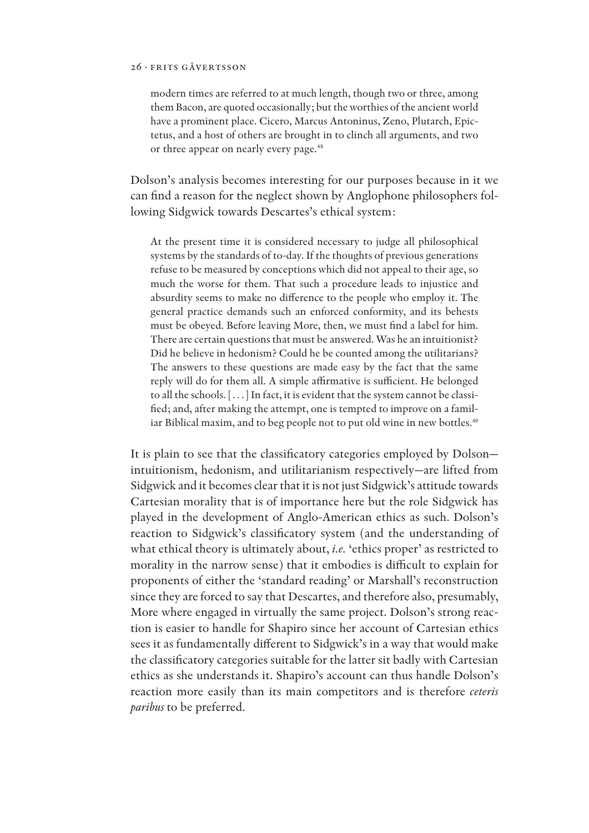modern times are referred to at much length, though two or three, among them Bacon, are quoted occasionally; but the worthies of the ancient world have a prominent place. Cicero, Marcus Antoninus, Zeno, Plutarch, Epictetus, and a host of others are brought in to clinch all arguments, and two or three appear on nearly every page.<sup>48</sup>

Dolson's analysis becomes interesting for our purposes because in it we can find a reason for the neglect shown by Anglophone philosophers following Sidgwick towards Descartes's ethical system:

At the present time it is considered necessary to judge all philosophical systems by the standards of to-day. If the thoughts of previous generations refuse to be measured by conceptions which did not appeal to their age, so much the worse for them. That such a procedure leads to injustice and absurdity seems to make no difference to the people who employ it. The general practice demands such an enforced conformity, and its behests must be obeyed. Before leaving More, then, we must find a label for him. There are certain questions that must be answered. Was he an intuitionist? Did he believe in hedonism? Could he be counted among the utilitarians? The answers to these questions are made easy by the fact that the same reply will do for them all. A simple affirmative is sufficient. He belonged to all the schools. […] In fact, it is evident that the system cannot be classi fied; and, after making the attempt, one is tempted to improve on a familiar Biblical maxim, and to beg people not to put old wine in new bottles.<sup>49</sup>

It is plain to see that the classificatory categories employed by Dolsonintuitionism, hedonism, and utilitarianism respectively—are lifted from Sidgwick and it becomes clear that it is not just Sidgwick's attitude towards Cartesian morality that is of importance here but the role Sidgwick has played in the development of Anglo-American ethics as such. Dolson's reaction to Sidgwick's classificatory system (and the understanding of what ethical theory is ultimately about, *i.e.* 'ethics proper' as restricted to morality in the narrow sense) that it embodies is difficult to explain for proponents of either the 'standard reading' or Marshall's reconstruction since they are forced to say that Descartes, and therefore also, presumably, More where engaged in virtually the same project. Dolson's strong reaction is easier to handle for Shapiro since her account of Cartesian ethics sees it as fundamentally different to Sidgwick's in a way that would make the classificatory categories suitable for the latter sit badly with Cartesian ethics as she understands it. Shapiro's account can thus handle Dolson's reaction more easily than its main competitors and is therefore *ceteris paribus* to be preferred.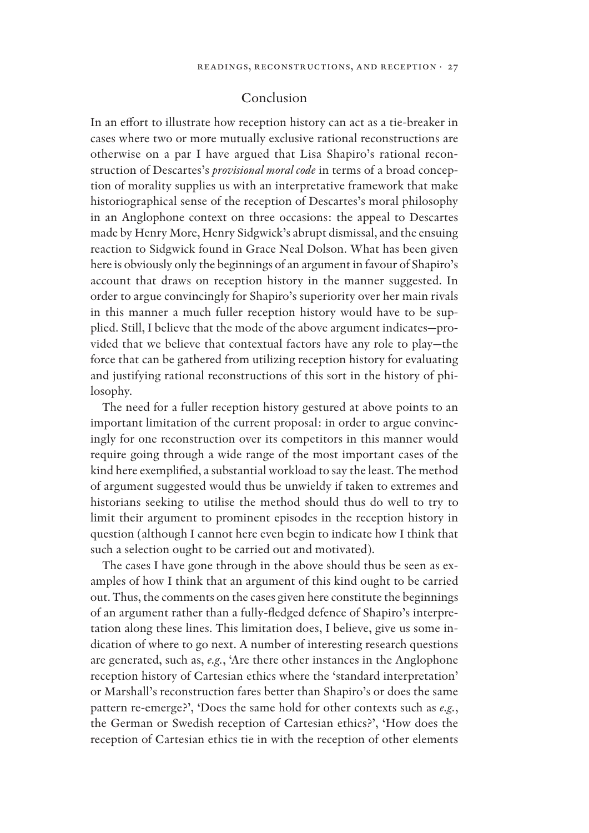## Conclusion

In an effort to illustrate how reception history can act as a tie-breaker in cases where two or more mutually exclusive rational reconstructions are otherwise on a par I have argued that Lisa Shapiro's rational reconstruction of Descartes's *provisional moral code* in terms of a broad conception of morality supplies us with an interpretative framework that make historiographical sense of the reception of Descartes's moral philosophy in an Anglophone context on three occasions: the appeal to Descartes made by Henry More, Henry Sidgwick's abrupt dismissal, and the ensuing reaction to Sidgwick found in Grace Neal Dolson. What has been given here is obviously only the beginnings of an argument in favour of Shapiro's account that draws on reception history in the manner suggested. In order to argue convincingly for Shapiro's superiority over her main rivals in this manner a much fuller reception history would have to be supplied. Still, I believe that the mode of the above argument indicates—provided that we believe that contextual factors have any role to play—the force that can be gathered from utilizing reception history for evaluating and justifying rational reconstructions of this sort in the history of philosophy.

The need for a fuller reception history gestured at above points to an important limitation of the current proposal: in order to argue convincingly for one reconstruction over its competitors in this manner would require going through a wide range of the most important cases of the kind here exemplified, a substantial workload to say the least. The method of argument suggested would thus be unwieldy if taken to extremes and historians seeking to utilise the method should thus do well to try to limit their argument to prominent episodes in the reception history in question (although I cannot here even begin to indicate how I think that such a selection ought to be carried out and motivated).

The cases I have gone through in the above should thus be seen as examples of how I think that an argument of this kind ought to be carried out. Thus, the comments on the cases given here constitute the beginnings of an argument rather than a fully-fledged defence of Shapiro's interpretation along these lines. This limitation does, I believe, give us some indication of where to go next. A number of interesting research questions are generated, such as, *e.g.*, 'Are there other instances in the Anglophone reception history of Cartesian ethics where the 'standard interpretation' or Marshall's reconstruction fares better than Shapiro's or does the same pattern re-emerge?', 'Does the same hold for other contexts such as *e.g.*, the German or Swedish reception of Cartesian ethics?', 'How does the reception of Cartesian ethics tie in with the reception of other elements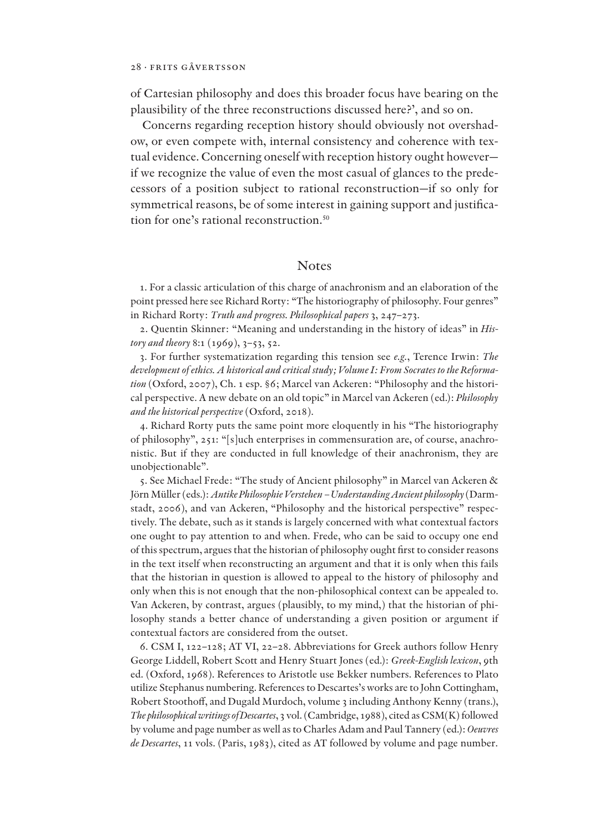of Cartesian philosophy and does this broader focus have bearing on the plausibility of the three reconstructions discussed here?', and so on.

Concerns regarding reception history should obviously not overshadow, or even compete with, internal consistency and coherence with textual evidence. Concerning oneself with reception history ought however if we recognize the value of even the most casual of glances to the predecessors of a position subject to rational reconstruction—if so only for symmetrical reasons, be of some interest in gaining support and justification for one's rational reconstruction.50

## Notes

1. For a classic articulation of this charge of anachronism and an elaboration of the point pressed here see Richard Rorty: "The historiography of philosophy. Four genres" in Richard Rorty: *Truth and progress. Philosophical papers* 3, 247–273.

2. Quentin Skinner: "Meaning and understanding in the history of ideas" in *History and theory* 8:1 (1969), 3–53, 52.

3. For further systematization regarding this tension see *e.g.*, Terence Irwin: *The development of ethics. A historical and critical study; Volume I: From Socrates to the Reformation* (Oxford, 2007), Ch. 1 esp. §6; Marcel van Ackeren: "Philosophy and the historical perspective. A new debate on an old topic" in Marcel van Ackeren (ed.): *Philosophy and the historical perspective* (Oxford, 2018).

4. Richard Rorty puts the same point more eloquently in his "The historiography of philosophy", 251: "[s]uch enterprises in commensuration are, of course, anachronistic. But if they are conducted in full knowledge of their anachronism, they are unobjectionable".

5. See Michael Frede: "The study of Ancient philosophy" in Marcel van Ackeren & Jörn Müller (eds.): *Antike Philosophie Verstehen – Understanding Ancient philosophy* (Darmstadt, 2006), and van Ackeren, "Philosophy and the historical perspective" respectively. The debate, such as it stands is largely concerned with what contextual factors one ought to pay attention to and when. Frede, who can be said to occupy one end of this spectrum, argues that the historian of philosophy ought first to consider reasons in the text itself when reconstructing an argument and that it is only when this fails that the historian in question is allowed to appeal to the history of philosophy and only when this is not enough that the non-philosophical context can be appealed to. Van Ackeren, by contrast, argues (plausibly, to my mind,) that the historian of philosophy stands a better chance of understanding a given position or argument if contextual factors are considered from the outset.

6. CSM I, 122–128; AT VI, 22–28. Abbreviations for Greek authors follow Henry George Liddell, Robert Scott and Henry Stuart Jones (ed.): *Greek-English lexicon*, 9th ed. (Oxford, 1968). References to Aristotle use Bekker numbers. References to Plato utilize Stephanus numbering. References to Descartes's works are to John Cottingham, Robert Stoothoff, and Dugald Murdoch, volume 3 including Anthony Kenny (trans.), *The philosophical writings of Descartes*, 3 vol. (Cambridge, 1988), cited as CSM(K) followed by volume and page number as well as to Charles Adam and Paul Tannery (ed.): *Oeuvres de Descartes*, 11 vols. (Paris, 1983), cited as AT followed by volume and page number.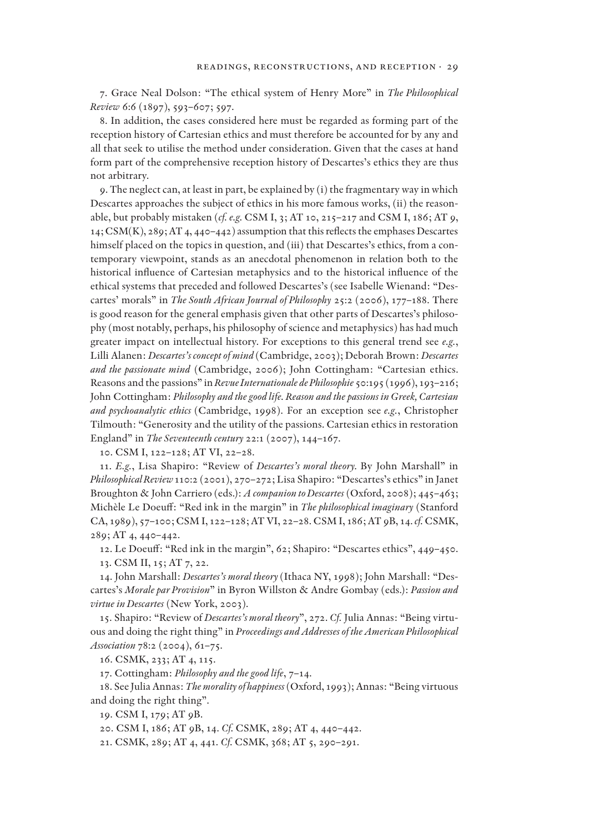7. Grace Neal Dolson: "The ethical system of Henry More" in *The Philosophical Review* 6:6 (1897), 593–607; 597.

8. In addition, the cases considered here must be regarded as forming part of the reception history of Cartesian ethics and must therefore be accounted for by any and all that seek to utilise the method under consideration. Given that the cases at hand form part of the comprehensive reception history of Descartes's ethics they are thus not arbitrary.

9. The neglect can, at least in part, be explained by (i) the fragmentary way in which Descartes approaches the subject of ethics in his more famous works, (ii) the reasonable, but probably mistaken (*cf. e.g.* CSM I, 3; AT 10, 215–217 and CSM I, 186; AT 9,  $14$ ; CSM(K),  $289$ ; AT 4,  $440-442$ ) assumption that this reflects the emphases Descartes himself placed on the topics in question, and (iii) that Descartes's ethics, from a contemporary viewpoint, stands as an anecdotal phenomenon in relation both to the historical influence of Cartesian metaphysics and to the historical influence of the ethical systems that preceded and followed Descartes's (see Isabelle Wienand: "Descartes' morals" in *The South African Journal of Philosophy* 25:2 (2006), 177–188. There is good reason for the general emphasis given that other parts of Descartes's philosophy (most notably, perhaps, his philosophy of science and metaphysics) has had much greater impact on intellectual history. For exceptions to this general trend see *e.g.*, Lilli Alanen: *Descartes's concept of mind* (Cambridge, 2003); Deborah Brown: *Descartes and the passionate mind* (Cambridge, 2006); John Cottingham: "Cartesian ethics. Reasons and the passions" in *Revue Internationale de Philosophie* 50:195 (1996), 193–216; John Cottingham: *Philosophy and the good life. Reason and the passions in Greek, Cartesian and psychoanalytic ethics* (Cambridge, 1998). For an exception see *e.g.*, Christopher Tilmouth: "Generosity and the utility of the passions. Cartesian ethics in restoration England" in *The Seventeenth century* 22:1 (2007), 144–167.

10. CSM I, 122–128; AT VI, 22–28.

11. *E.g.*, Lisa Shapiro: "Review of *Descartes's moral theory.* By John Marshall" in *Philosophical Review* 110:2 (2001), 270–272; Lisa Shapiro: "Descartes's ethics" in Janet Broughton & John Carriero (eds.): *A companion to Descartes* (Oxford, 2008); 445–463; Michèle Le Doeuff: "Red ink in the margin" in *The philosophical imaginary* (Stanford CA, 1989), 57–100; CSM I, 122–128; AT VI, 22–28. CSM I, 186; AT 9B, 14. *cf.* CSMK, 289; AT 4, 440–442.

12. Le Doeuff: "Red ink in the margin", 62; Shapiro: "Descartes ethics", 449-450. 13. CSM II, 15; AT 7, 22.

14. John Marshall: *Descartes's moral theory* (Ithaca NY, 1998); John Marshall: "Descartes's *Morale par Provision*" in Byron Willston & Andre Gombay (eds.): *Passion and virtue in Descartes* (New York, 2003).

15. Shapiro: "Review of *Descartes's moral theory*", 272. *Cf.* Julia Annas: "Being virtuous and doing the right thing" in *Proceedings and Addresses of the American Philosophical Association* 78:2 (2004), 61–75.

16. CSMK, 233; AT 4, 115.

17. Cottingham: *Philosophy and the good life*, 7–14.

18. See Julia Annas: *The morality of happiness* (Oxford, 1993); Annas: "Being virtuous and doing the right thing".

19. CSM I, 179; AT 9B.

20. CSM I, 186; AT 9B, 14. *Cf.* CSMK, 289; AT 4, 440–442.

21. CSMK, 289; AT 4, 441. *Cf.* CSMK, 368; AT 5, 290–291.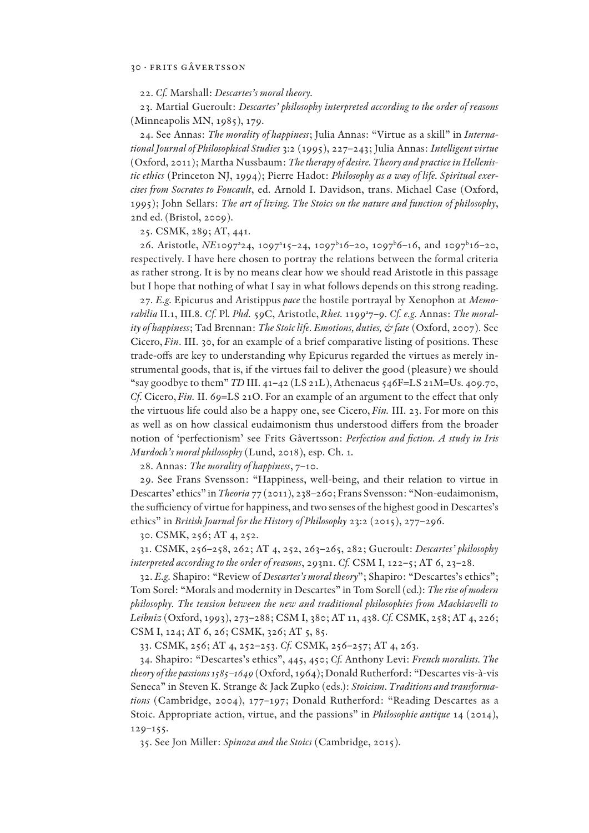22. *Cf.* Marshall: *Descartes's moral theory.*

23. Martial Gueroult: *Descartes' philosophy interpreted according to the order of reasons*  (Minneapolis MN, 1985), 179.

24. See Annas: *The morality of happiness*; Julia Annas: "Virtue as a skill" in *International Journal of Philosophical Studies* 3:2 (1995), 227–243; Julia Annas: *Intelligent virtue*  (Oxford, 2011); Martha Nussbaum: *The therapy of desire. Theory and practice in Hellenistic ethics* (Princeton NJ, 1994); Pierre Hadot: *Philosophy as a way of life. Spiritual exercises from Socrates to Foucault*, ed. Arnold I. Davidson, trans. Michael Case (Oxford, 1995); John Sellars: *The art of living. The Stoics on the nature and function of philosophy*, 2nd ed. (Bristol, 2009).

25. CSMK, 289; AT, 441.

26. Aristotle, *NE*1097<sup>2</sup>4, 1097<sup>2</sup>15-24, 1097<sup>b</sup>16-20, 1097<sup>b</sup>6-16, and 1097<sup>b</sup>16-20, respectively. I have here chosen to portray the relations between the formal criteria as rather strong. It is by no means clear how we should read Aristotle in this passage but I hope that nothing of what I say in what follows depends on this strong reading.

27. *E.g.* Epicurus and Aristippus *pace* the hostile portrayal by Xenophon at *Memorabilia* II.1, III.8. *Cf.* Pl*. Phd.* 59C, Aristotle, *Rhet.* 1199a 7–9. *Cf. e.g.* Annas: *The morality of happiness*; Tad Brennan: *The Stoic life. Emotions, duties, & fate* (Oxford, 2007). See Cicero, *Fin*. III. 30, for an example of a brief comparative listing of positions. These trade-offs are key to understanding why Epicurus regarded the virtues as merely instrumental goods, that is, if the virtues fail to deliver the good (pleasure) we should "say goodbye to them" *TD* III. 41–42 (LS 21L), Athenaeus 546F=LS 21M=Us. 409.70, *Cf.* Cicero, *Fin.* II. 69=LS 21O. For an example of an argument to the effect that only the virtuous life could also be a happy one, see Cicero, *Fin.* III. 23. For more on this as well as on how classical eudaimonism thus understood differs from the broader notion of 'perfectionism' see Frits Gåvertsson: *Perfection and !ction. A study in Iris Murdoch's moral philosophy* (Lund, 2018), esp. Ch. 1*.*

28. Annas: *The morality of happiness*, 7–10.

29. See Frans Svensson: "Happiness, well-being, and their relation to virtue in Descartes' ethics" in *Theoria* 77 (2011), 238–260; Frans Svensson: "Non-eudaimonism, the sufficiency of virtue for happiness, and two senses of the highest good in Descartes's ethics" in *British Journal for the History of Philosophy* 23:2 (2015), 277–296.

30. CSMK, 256; AT 4, 252.

31. CSMK, 256–258, 262; AT 4, 252, 263–265, 282; Gueroult: *Descartes' philosophy interpreted according to the order of reasons*, 293n1. *Cf.* CSM I, 122–5; AT 6, 23–28.

32. *E.g.* Shapiro: "Review of *Descartes's moral theory*"; Shapiro: "Descartes's ethics"; Tom Sorel: "Morals and modernity in Descartes" in Tom Sorell (ed.): *The rise of modern philosophy. The tension between the new and traditional philosophies from Machiavelli to Leibniz* (Oxford, 1993), 273–288; CSM I, 380; AT 11, 438. *Cf.* CSMK, 258; AT 4, 226; CSM I, 124; AT 6, 26; CSMK, 326; AT 5, 85.

33. CSMK, 256; AT 4, 252–253. *Cf.* CSMK, 256–257; AT 4, 263.

34. Shapiro: "Descartes's ethics", 445, 450; *Cf.* Anthony Levi: *French moralists. The theory of the passions 1585–1649* (Oxford, 1964); Donald Rutherford: "Descartes vis-à-vis Seneca" in Steven K. Strange & Jack Zupko (eds.): *Stoicism. Traditions and transformations* (Cambridge, 2004), 177–197; Donald Rutherford: "Reading Descartes as a Stoic. Appropriate action, virtue, and the passions" in *Philosophie antique* 14 (2014), 129–155.

35. See Jon Miller: *Spinoza and the Stoics* (Cambridge, 2015).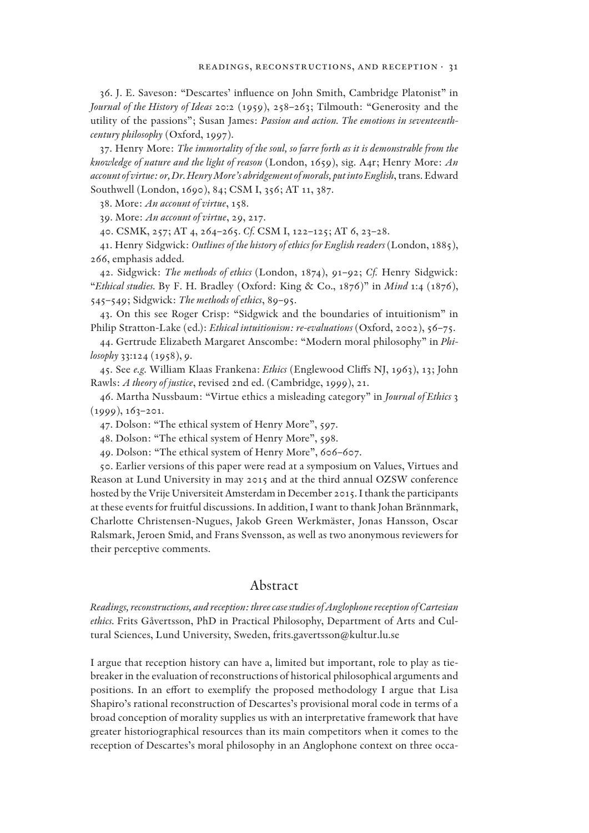36. J. E. Saveson: "Descartes' in2uence on John Smith, Cambridge Platonist" in *Journal of the History of Ideas* 20:2 (1959), 258–263; Tilmouth: "Generosity and the utility of the passions"; Susan James: *Passion and action. The emotions in seventeenthcentury philosophy* (Oxford, 1997).

37. Henry More: *The immortality of the soul, so farre forth as it is demonstrable from the knowledge of nature and the light of reason* (London, 1659), sig. A4r; Henry More: *An account of virtue: or, Dr. Henry More's abridgement of morals, put into English*, trans. Edward Southwell (London, 1690), 84; CSM I, 356; AT 11, 387.

38. More: *An account of virtue*, 158.

39. More: *An account of virtue*, 29, 217.

40. CSMK, 257; AT 4, 264–265. *Cf.* CSM I, 122–125; AT 6, 23–28.

41. Henry Sidgwick: *Outlines of the history of ethics for English readers* (London, 1885), 266, emphasis added.

42. Sidgwick: *The methods of ethics* (London, 1874), 91–92; *Cf.* Henry Sidgwick: "*Ethical studies.* By F. H. Bradley (Oxford: King & Co., 1876)" in *Mind* 1:4 (1876), 545–549; Sidgwick: *The methods of ethics*, 89–95.

43. On this see Roger Crisp: "Sidgwick and the boundaries of intuitionism" in Philip Stratton-Lake (ed.): *Ethical intuitionism: re-evaluations* (Oxford, 2002), 56–75.

44. Gertrude Elizabeth Margaret Anscombe: "Modern moral philosophy" in *Philosophy* 33:124 (1958), 9.

45. See *e.g.* William Klaas Frankena: *Ethics* (Englewood Cliffs NJ, 1963), 13; John Rawls: *A theory of justice*, revised 2nd ed. (Cambridge, 1999), 21.

46. Martha Nussbaum: "Virtue ethics a misleading category" in *Journal of Ethics* 3  $(1999), 163 - 201.$ 

47. Dolson: "The ethical system of Henry More", 597.

48. Dolson: "The ethical system of Henry More", 598.

49. Dolson: "The ethical system of Henry More", 606–607.

50. Earlier versions of this paper were read at a symposium on Values, Virtues and Reason at Lund University in may 2015 and at the third annual OZSW conference hosted by the Vrije Universiteit Amsterdam in December 2015. I thank the participants at these events for fruitful discussions. In addition, I want to thank Johan Brännmark, Charlotte Christensen-Nugues, Jakob Green Werkmäster, Jonas Hansson, Oscar Ralsmark, Jeroen Smid, and Frans Svensson, as well as two anonymous reviewers for their perceptive comments.

## Abstract

*Readings, reconstructions, and reception: three case studies of Anglophone reception of Cartesian ethics.* Frits Gåvertsson, PhD in Practical Philosophy, Department of Arts and Cultural Sciences, Lund University, Sweden, frits.gavertsson@kultur.lu.se

I argue that reception history can have a, limited but important, role to play as tiebreaker in the evaluation of reconstructions of historical philosophical arguments and positions. In an effort to exemplify the proposed methodology I argue that Lisa Shapiro's rational reconstruction of Descartes's provisional moral code in terms of a broad conception of morality supplies us with an interpretative framework that have greater historiographical resources than its main competitors when it comes to the reception of Descartes's moral philosophy in an Anglophone context on three occa-